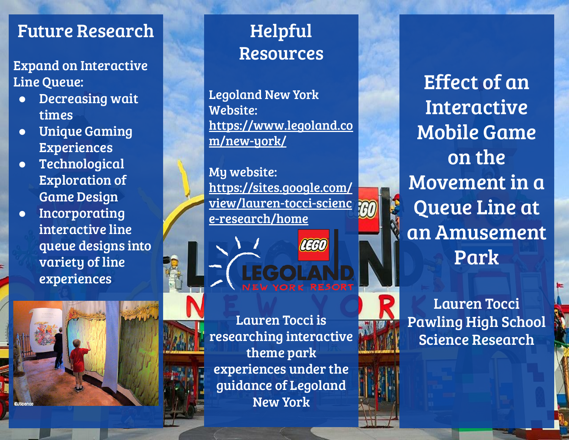## Future Research

Expand on Interactive Line Queue:

- **Decreasing wait** times
- Unique Gaming Experiences
- Technological Exploration of Game Design
- Incorporating interactive line queue designs into variety of line experiences

# Helpful Resources

Legoland New York Website: [https://www.legoland.co](https://www.legoland.com/new-york/) [m/new-york/](https://www.legoland.com/new-york/)

My website: [https://sites.google.com/](https://sites.google.com/view/lauren-tocci-science-research/home) [view/lauren-tocci-scienc](https://sites.google.com/view/lauren-tocci-science-research/home) [e-research/home](https://sites.google.com/view/lauren-tocci-science-research/home)

**CEGO** 

Lauren Tocci is researching interactive theme park experiences under the guidance of Legoland New York

Effect of an Interactive Mobile Game on the Movement in a Queue Line at an Amusement Park



Lauren Tocci Pawling High School Science Research